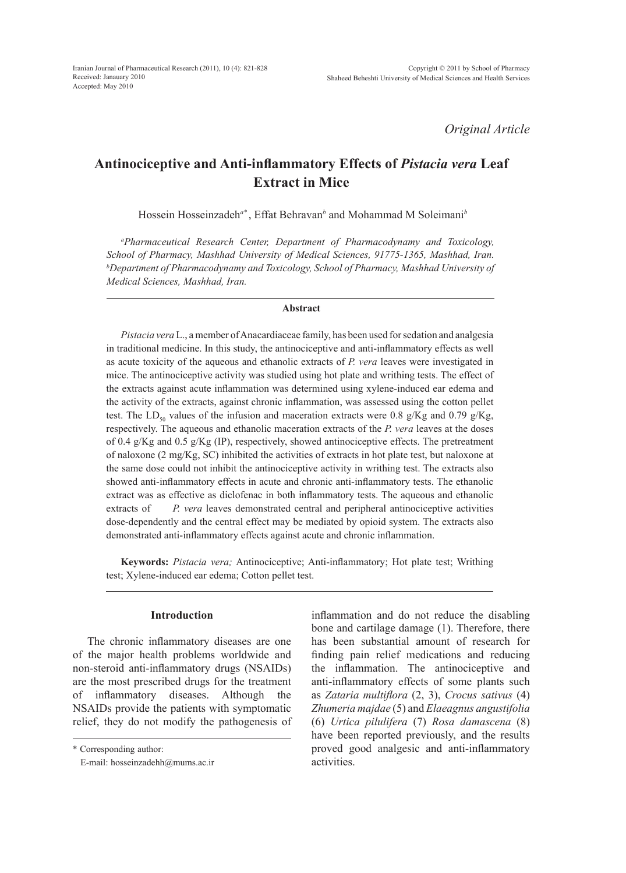# *Original Article*

# **Antinociceptive and Anti-inflammatory Effects of** *Pistacia vera* **Leaf Extract in Mice**

Hossein Hosseinzadeh*a\** , Effat Behravan*<sup>b</sup>* and Mohammad M Soleimani*<sup>b</sup>*

*a Pharmaceutical Research Center, Department of Pharmacodynamy and Toxicology, School of Pharmacy, Mashhad University of Medical Sciences, 91775-1365, Mashhad, Iran. b Department of Pharmacodynamy and Toxicology, School of Pharmacy, Mashhad University of Medical Sciences, Mashhad, Iran.*

#### **Abstract**

*Pistacia vera* L., a member of Anacardiaceae family, has been used for sedation and analgesia in traditional medicine. In this study, the antinociceptive and anti-inflammatory effects as well as acute toxicity of the aqueous and ethanolic extracts of *P. vera* leaves were investigated in mice. The antinociceptive activity was studied using hot plate and writhing tests. The effect of the extracts against acute inflammation was determined using xylene-induced ear edema and the activity of the extracts, against chronic inflammation, was assessed using the cotton pellet test. The LD<sub>50</sub> values of the infusion and maceration extracts were 0.8 g/Kg and 0.79 g/Kg, respectively. The aqueous and ethanolic maceration extracts of the *P. vera* leaves at the doses of 0.4 g/Kg and 0.5 g/Kg (IP), respectively, showed antinociceptive effects. The pretreatment of naloxone (2 mg/Kg, SC) inhibited the activities of extracts in hot plate test, but naloxone at the same dose could not inhibit the antinociceptive activity in writhing test. The extracts also showed anti-inflammatory effects in acute and chronic anti-inflammatory tests. The ethanolic extract was as effective as diclofenac in both inflammatory tests. The aqueous and ethanolic extracts of *P. vera* leaves demonstrated central and peripheral antinociceptive activities dose-dependently and the central effect may be mediated by opioid system. The extracts also demonstrated anti-inflammatory effects against acute and chronic inflammation.

**Keywords:** *Pistacia vera;* Antinociceptive; Anti-inflammatory; Hot plate test; Writhing test; Xylene-induced ear edema; Cotton pellet test.

## **Introduction**

The chronic inflammatory diseases are one of the major health problems worldwide and non-steroid anti-inflammatory drugs (NSAIDs) are the most prescribed drugs for the treatment of inflammatory diseases. Although the NSAIDs provide the patients with symptomatic relief, they do not modify the pathogenesis of

\* Corresponding author:

E-mail: hosseinzadehh@mums.ac.ir

inflammation and do not reduce the disabling bone and cartilage damage (1). Therefore, there has been substantial amount of research for finding pain relief medications and reducing the inflammation. The antinociceptive and anti-inflammatory effects of some plants such as *Zataria multiflora* (2, 3), *Crocus sativus* (4) *Zhumeria majdae* (5) and *Elaeagnus angustifolia* (6) *Urtica pilulifera* (7) *Rosa damascena* (8) have been reported previously, and the results proved good analgesic and anti-inflammatory activities.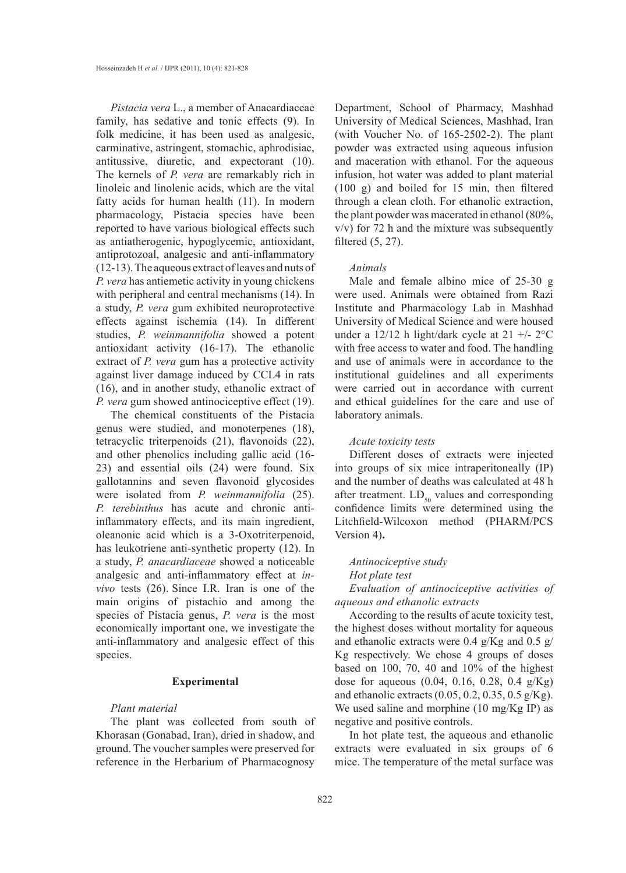*Pistacia vera* L., a member of Anacardiaceae family, has sedative and tonic effects (9). In folk medicine, it has been used as analgesic, carminative, astringent, stomachic, aphrodisiac, antitussive, diuretic, and expectorant (10). The kernels of *P. vera* are remarkably rich in linoleic and linolenic acids, which are the vital fatty acids for human health (11). In modern pharmacology, Pistacia species have been reported to have various biological effects such as antiatherogenic, hypoglycemic, antioxidant, antiprotozoal, analgesic and anti-inflammatory (12-13). The aqueous extract of leaves and nuts of *P. vera* has antiemetic activity in young chickens with peripheral and central mechanisms (14). In a study, *P. vera* gum exhibited neuroprotective effects against ischemia (14). In different studies, *P. weinmannifolia* showed a potent antioxidant activity (16-17). The ethanolic extract of *P. vera* gum has a protective activity against liver damage induced by CCL4 in rats (16), and in another study, ethanolic extract of *P. vera* gum showed antinociceptive effect (19).

The chemical constituents of the Pistacia genus were studied, and monoterpenes (18), tetracyclic triterpenoids (21), flavonoids (22), and other phenolics including gallic acid (16- 23) and essential oils (24) were found. Six gallotannins and seven flavonoid glycosides were isolated from *P. weinmannifolia* (25). *P. terebinthus* has acute and chronic antiinflammatory effects, and its main ingredient, oleanonic acid which is a 3-Oxotriterpenoid, has leukotriene anti-synthetic property (12). In a study, *P. anacardiaceae* showed a noticeable analgesic and anti-inflammatory effect at *invivo* tests (26). Since I.R. Iran is one of the main origins of pistachio and among the species of Pistacia genus, *P. vera* is the most economically important one, we investigate the anti-inflammatory and analgesic effect of this species.

## **Experimental**

## *Plant material*

The plant was collected from south of Khorasan (Gonabad, Iran), dried in shadow, and ground. The voucher samples were preserved for reference in the Herbarium of Pharmacognosy Department, School of Pharmacy, Mashhad University of Medical Sciences, Mashhad, Iran (with Voucher No. of 165-2502-2). The plant powder was extracted using aqueous infusion and maceration with ethanol. For the aqueous infusion, hot water was added to plant material (100 g) and boiled for 15 min, then filtered through a clean cloth. For ethanolic extraction, the plant powder was macerated in ethanol (80%, v/v) for 72 h and the mixture was subsequently filtered (5, 27).

#### *Animals*

Male and female albino mice of 25-30 g were used. Animals were obtained from Razi Institute and Pharmacology Lab in Mashhad University of Medical Science and were housed under a  $12/12$  h light/dark cycle at  $21 +/- 2$ °C with free access to water and food. The handling and use of animals were in accordance to the institutional guidelines and all experiments were carried out in accordance with current and ethical guidelines for the care and use of laboratory animals.

#### *Acute toxicity tests*

Different doses of extracts were injected into groups of six mice intraperitoneally (IP) and the number of deaths was calculated at 48 h after treatment.  $LD_{50}$  values and corresponding confidence limits were determined using the Litchfield-Wilcoxon method (PHARM/PCS Version 4)**.**

## *Antinociceptive study Hot plate test*

*Evaluation of antinociceptive activities of aqueous and ethanolic extracts*

According to the results of acute toxicity test, the highest doses without mortality for aqueous and ethanolic extracts were 0.4 g/Kg and 0.5 g/ Kg respectively. We chose 4 groups of doses based on 100, 70, 40 and 10% of the highest dose for aqueous (0.04, 0.16, 0.28, 0.4 g/Kg) and ethanolic extracts (0.05, 0.2, 0.35, 0.5 g/Kg). We used saline and morphine (10 mg/Kg IP) as negative and positive controls.

In hot plate test, the aqueous and ethanolic extracts were evaluated in six groups of 6 mice. The temperature of the metal surface was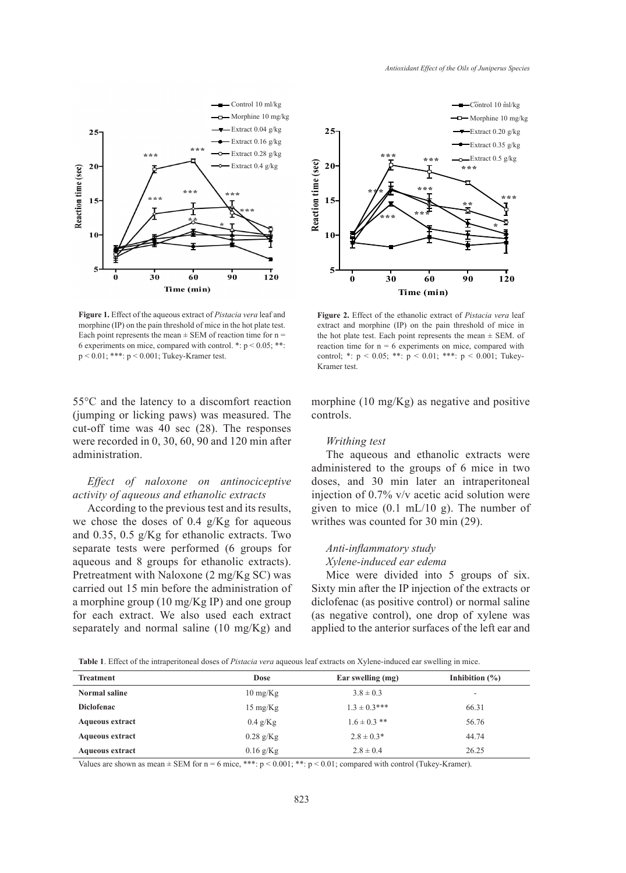

Each point represents the mean  $\pm$  SEM of reaction time for  $n =$  the hot plate test. Eacl **5** morphine (IP) on the pain threshold of mice in the hot plate test. 6 experiments on mice, compared with control.  $\cdot$ :  $p$  < 0.05;  $\cdot$ **Figure 1.** Effect of the aqueous extract of *Pistacia vera* leaf and p < 0.01; \*\*\*: p < 0.001; Tukey-Kramer test.

55°C and the latency to a discomfort reaction (jumping or licking paws) was measured. The cut-off time was 40 sec (28). The responses were recorded in 0, 30, 60, 90 and 120 min after administration.

## *Effect of naloxone on antinociceptive activity of aqueous and ethanolic extracts*

According to the previous test and its results, we chose the doses of 0.4 g/Kg for aqueous and 0.35, 0.5 g/Kg for ethanolic extracts. Two separate tests were performed (6 groups for aqueous and 8 groups for ethanolic extracts). Pretreatment with Naloxone (2 mg/Kg SC) was carried out 15 min before the administration of a morphine group (10 mg/Kg IP) and one group for each extract. We also used each extract separately and normal saline (10 mg/Kg) and



the hot plate test. Each point represents the mean  $\pm$  SEM. of extract and morphine (IP) on the pain threshold of mice in reaction time for  $n = 6$  experiments on mice, compared with **Figure 2.** Effect of the ethanolic extract of *Pistacia vera* leaf control; \*:  $p < 0.05$ ; \*\*:  $p < 0.01$ ; \*\*\*:  $p < 0.001$ ; Tukey-Kramer test.

morphine  $(10 \text{ mg/Kg})$  as negative and positive controls.

## *Writhing test*

The aqueous and ethanolic extracts were administered to the groups of 6 mice in two doses, and 30 min later an intraperitoneal injection of 0.7% v/v acetic acid solution were given to mice (0.1 mL/10 g). The number of writhes was counted for 30 min (29).

## *Anti-inflammatory study Xylene-induced ear edema*

Mice were divided into 5 groups of six. Sixty min after the IP injection of the extracts or diclofenac (as positive control) or normal saline (as negative control), one drop of xylene was applied to the anterior surfaces of the left ear and

| <b>Table 1.</b> Effect of the intraperitoneal doses of <i>Pistacia vera</i> aqueous leaf extracts on Xylene-induced ear swelling in mice. |  |  |
|-------------------------------------------------------------------------------------------------------------------------------------------|--|--|
|                                                                                                                                           |  |  |

| <b>Treatment</b>       | <b>Dose</b>        | Ear swelling (mg) | Inhibition $(\% )$ |
|------------------------|--------------------|-------------------|--------------------|
| Normal saline          | $10 \text{ mg/Kg}$ | $3.8 \pm 0.3$     | ۰                  |
| <b>Diclofenac</b>      | $15 \text{ mg/Kg}$ | $1.3 \pm 0.3***$  | 66.31              |
| Aqueous extract        | $0.4$ g/Kg         | $1.6 \pm 0.3$ **  | 56.76              |
| <b>Aqueous extract</b> | $0.28$ g/Kg        | $2.8 \pm 0.3*$    | 44.74              |
| <b>Aqueous extract</b> | $0.16$ g/Kg        | $2.8 \pm 0.4$     | 26.25              |

Values are shown as mean  $\pm$  SEM for n = 6 mice, \*\*\*:  $p < 0.001$ ; \*\*:  $p < 0.01$ ; compared with control (Tukey-Kramer).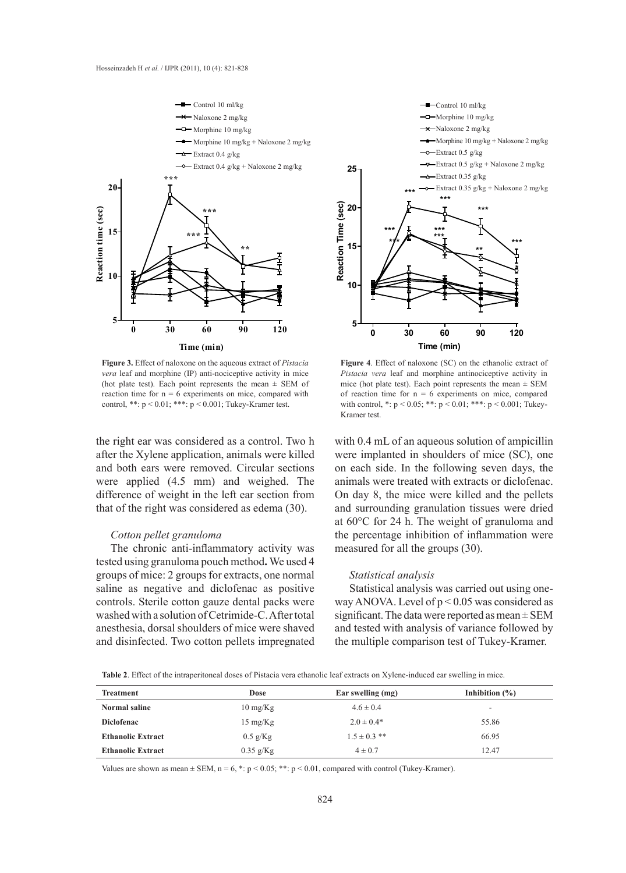

Figure 3. Effect of naloxone on the aqueous extract of *Pistacia vera* leaf and morphine (IP) anti-nociceptive activity in mice (hot plate test). Each point represents the mean  $\pm$  SEM of reaction time for  $n = 6$  experiments on mice, compared with control, \*\*: p < 0.01; \*\*\*: p < 0.001; Tukey-Kramer test.

the right ear was considered as a control. Two h after the Xylene application, animals were killed and both ears were removed. Circular sections were applied (4.5 mm) and weighed. The difference of weight in the left ear section from that of the right was considered as edema (30).

### *Cotton pellet granuloma*

The chronic anti-inflammatory activity was tested using granuloma pouch method**.** We used 4 groups of mice: 2 groups for extracts, one normal saline as negative and diclofenac as positive controls. Sterile cotton gauze dental packs were washed with a solution of Cetrimide-C. After total anesthesia, dorsal shoulders of mice were shaved and disinfected. Two cotton pellets impregnated



**Figure 4**. Effect of naloxone (SC) on the ethanolic extract of **5** *Pistacia vera* leaf and morphine antinociceptive activity in mice (hot plate test). Each point represents the mean  $\pm$  SEM of reaction time for  $n = 6$  experiments on mice, compared with control, \*:  $p < 0.05$ ; \*\*:  $p < 0.01$ ; \*\*\*:  $p < 0.001$ ; Tukey-Kramer test.

with 0.4 mL of an aqueous solution of ampicillin were implanted in shoulders of mice (SC), one on each side. In the following seven days, the animals were treated with extracts or diclofenac. On day 8, the mice were killed and the pellets and surrounding granulation tissues were dried at 60°C for 24 h. The weight of granuloma and the percentage inhibition of inflammation were measured for all the groups (30).

## *Statistical analysis*

Statistical analysis was carried out using oneway ANOVA. Level of p < 0.05 was considered as significant. The data were reported as mean ± SEM and tested with analysis of variance followed by the multiple comparison test of Tukey-Kramer.

**Table 2**. Effect of the intraperitoneal doses of Pistacia vera ethanolic leaf extracts on Xylene-induced ear swelling in mice.

| <b>Treatment</b>         | <b>Dose</b>        | Ear swelling (mg) | Inhibition $(\% )$ |
|--------------------------|--------------------|-------------------|--------------------|
| Normal saline            | $10 \text{ mg/Kg}$ | $4.6 \pm 0.4$     | ۰                  |
| <b>Diclofenac</b>        | $15 \text{ mg/Kg}$ | $2.0 \pm 0.4*$    | 55.86              |
| <b>Ethanolic Extract</b> | $0.5$ g/Kg         | $1.5 \pm 0.3$ **  | 66.95              |
| <b>Ethanolic Extract</b> | $0.35$ g/Kg        | $4 \pm 0.7$       | 12.47              |

Values are shown as mean  $\pm$  SEM, n = 6, \*: p < 0.05; \*\*: p < 0.01, compared with control (Tukey-Kramer).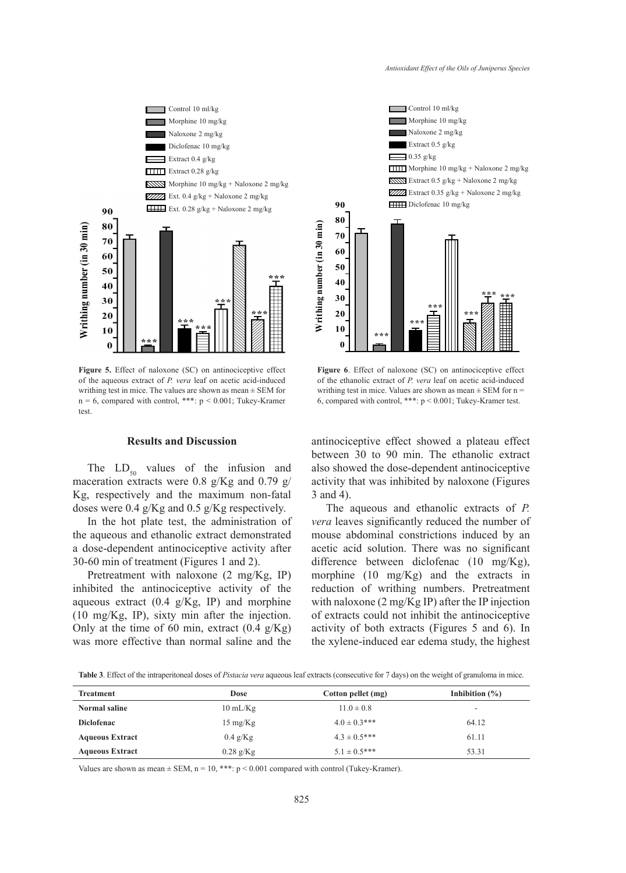

Figure 5. Effect of naloxone (SC) on antinociceptive effect of the aqueous extract of *P. vera* leaf on acetic acid-induced writhing test in mice. The values are shown as mean  $\pm$  SEM for  $n = 6$ , compared with control, \*\*\*:  $p < 0.001$ ; Tukey-Kramer test.

## **Results and Discussion**

The  $LD_{50}$  values of the infusion and maceration extracts were 0.8 g/Kg and 0.79 g/ Kg, respectively and the maximum non-fatal doses were 0.4 g/Kg and 0.5 g/Kg respectively.

In the hot plate test, the administration of the aqueous and ethanolic extract demonstrated a dose-dependent antinociceptive activity after 30-60 min of treatment (Figures 1 and 2).

Pretreatment with naloxone (2 mg/Kg, IP) inhibited the antinociceptive activity of the aqueous extract  $(0.4 \text{ g/Kg}, \text{ IP})$  and morphine (10 mg/Kg, IP), sixty min after the injection. Only at the time of 60 min, extract  $(0.4 \text{ g/Kg})$ was more effective than normal saline and the



**Figure 6**. Effect of naloxone (SC) on antinociceptive effect of the ethanolic extract of *P. vera* leaf on acetic acid-induced writhing test in mice. Values are shown as mean  $\pm$  SEM for n = 6, compared with control, \*\*\*: p < 0.001; Tukey-Kramer test.

antinociceptive effect showed a plateau effect between 30 to 90 min. The ethanolic extract also showed the dose-dependent antinociceptive activity that was inhibited by naloxone (Figures 3 and 4).

The aqueous and ethanolic extracts of *P. vera* leaves significantly reduced the number of mouse abdominal constrictions induced by an acetic acid solution. There was no significant difference between diclofenac (10 mg/Kg), morphine (10 mg/Kg) and the extracts in reduction of writhing numbers. Pretreatment with naloxone (2 mg/Kg IP) after the IP injection of extracts could not inhibit the antinociceptive activity of both extracts (Figures 5 and 6). In the xylene-induced ear edema study, the highest

**Table 3**. Effect of the intraperitoneal doses of *Pistacia vera* aqueous leaf extracts (consecutive for 7 days) on the weight of granuloma in mice.

| <b>Treatment</b>       | <b>Dose</b>        | Cotton pellet (mg) | Inhibition $(\%)$        |
|------------------------|--------------------|--------------------|--------------------------|
| Normal saline          | $10 \text{ mL/Kg}$ | $11.0 \pm 0.8$     | $\overline{\phantom{a}}$ |
| <b>Diclofenac</b>      | $15 \text{ mg/Kg}$ | $4.0 \pm 0.3$ ***  | 64.12                    |
| <b>Aqueous Extract</b> | $0.4$ g/Kg         | $4.3 \pm 0.5***$   | 61.11                    |
| <b>Aqueous Extract</b> | $0.28$ g/Kg        | $5.1 \pm 0.5***$   | 53.31                    |

Values are shown as mean  $\pm$  SEM, n = 10, \*\*\*: p < 0.001 compared with control (Tukey-Kramer).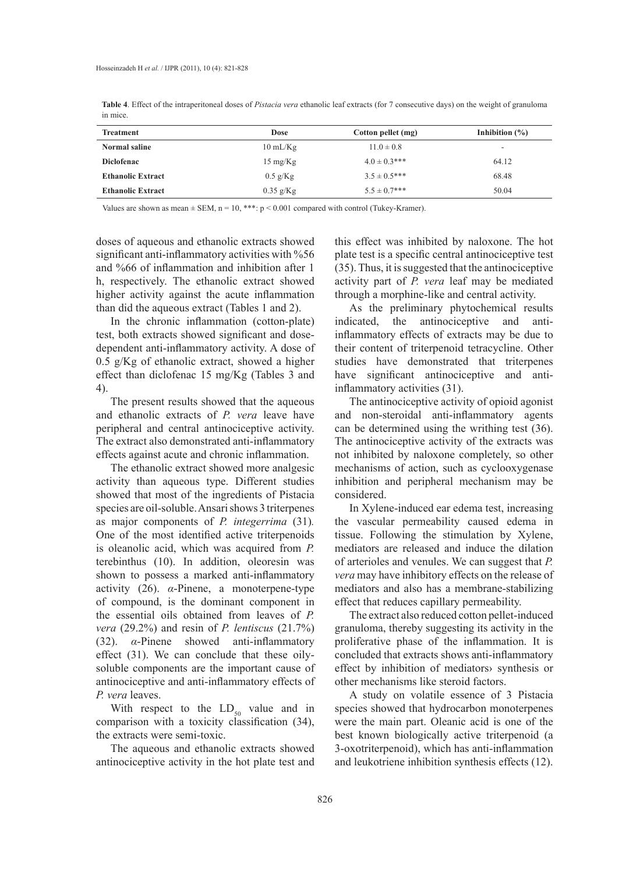| <b>Treatment</b>         | Dose               | Cotton pellet (mg) | Inhibition $(\% )$ |
|--------------------------|--------------------|--------------------|--------------------|
| Normal saline            | $10 \text{ mL/Kg}$ | $11.0 \pm 0.8$     | -                  |
| <b>Diclofenac</b>        | $15 \text{ mg/Kg}$ | $4.0 \pm 0.3$ ***  | 64.12              |
| <b>Ethanolic Extract</b> | $0.5$ g/Kg         | $3.5 \pm 0.5$ ***  | 68.48              |

**Ethanolic Extract** 6.04 **cm** 5.5 to 0.35 g/Kg 5.5 ± 0.7\*\*\* 50.04

**Table 4**. Effect of the intraperitoneal doses of *Pistacia vera* ethanolic leaf extracts (for 7 consecutive days) on the weight of granuloma in mice.

Values are shown as mean  $\pm$  SEM, n = 10, \*\*\*: p < 0.001 compared with control (Tukey-Kramer).

doses of aqueous and ethanolic extracts showed significant anti-inflammatory activities with %56 and %66 of inflammation and inhibition after 1 h, respectively. The ethanolic extract showed higher activity against the acute inflammation than did the aqueous extract (Tables 1 and 2).

In the chronic inflammation (cotton-plate) test, both extracts showed significant and dosedependent anti-inflammatory activity. A dose of 0.5 g/Kg of ethanolic extract, showed a higher effect than diclofenac 15 mg/Kg (Tables 3 and 4).

The present results showed that the aqueous and ethanolic extracts of *P. vera* leave have peripheral and central antinociceptive activity. The extract also demonstrated anti-inflammatory effects against acute and chronic inflammation.

The ethanolic extract showed more analgesic activity than aqueous type. Different studies showed that most of the ingredients of Pistacia species are oil-soluble. Ansari shows 3 triterpenes as major components of *P. integerrima* (31)*.* One of the most identified active triterpenoids is oleanolic acid, which was acquired from *P.* terebinthus (10). In addition, oleoresin was shown to possess a marked anti-inflammatory activity (26). *α*-Pinene, a monoterpene-type of compound, is the dominant component in the essential oils obtained from leaves of *P. vera* (29.2%) and resin of *P. lentiscus* (21.7%) (32). *α*-Pinene showed anti-inflammatory effect (31). We can conclude that these oilysoluble components are the important cause of antinociceptive and anti-inflammatory effects of *P. vera* leaves.

With respect to the  $LD_{50}$  value and in comparison with a toxicity classification (34), the extracts were semi-toxic.

The aqueous and ethanolic extracts showed antinociceptive activity in the hot plate test and

this effect was inhibited by naloxone. The hot plate test is a specific central antinociceptive test (35). Thus, it is suggested that the antinociceptive activity part of *P. vera* leaf may be mediated through a morphine-like and central activity.

As the preliminary phytochemical results indicated, the antinociceptive and antiinflammatory effects of extracts may be due to their content of triterpenoid tetracycline. Other studies have demonstrated that triterpenes have significant antinociceptive and antiinflammatory activities (31).

The antinociceptive activity of opioid agonist and non-steroidal anti-inflammatory agents can be determined using the writhing test (36). The antinociceptive activity of the extracts was not inhibited by naloxone completely, so other mechanisms of action, such as cyclooxygenase inhibition and peripheral mechanism may be considered.

In Xylene-induced ear edema test, increasing the vascular permeability caused edema in tissue. Following the stimulation by Xylene, mediators are released and induce the dilation of arterioles and venules. We can suggest that *P. vera* may have inhibitory effects on the release of mediators and also has a membrane-stabilizing effect that reduces capillary permeability.

The extract also reduced cotton pellet-induced granuloma, thereby suggesting its activity in the proliferative phase of the inflammation. It is concluded that extracts shows anti-inflammatory effect by inhibition of mediators› synthesis or other mechanisms like steroid factors.

A study on volatile essence of 3 Pistacia species showed that hydrocarbon monoterpenes were the main part. Oleanic acid is one of the best known biologically active triterpenoid (a 3-oxotriterpenoid), which has anti-inflammation and leukotriene inhibition synthesis effects (12).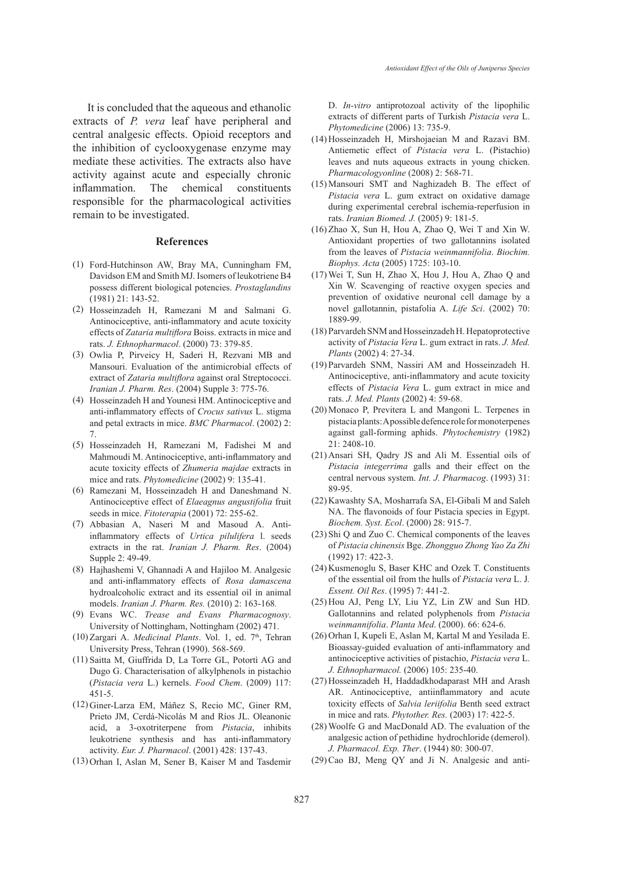It is concluded that the aqueous and ethanolic extracts of *P. vera* leaf have peripheral and central analgesic effects. Opioid receptors and the inhibition of cyclooxygenase enzyme may mediate these activities. The extracts also have activity against acute and especially chronic inflammation. The chemical constituents responsible for the pharmacological activities remain to be investigated.

#### **References**

- Ford-Hutchinson AW, Bray MA, Cunningham FM, (1) Davidson EM and Smith MJ. Isomers of leukotriene B4 possess different biological potencies. *Prostaglandins* (1981) 21: 143-52.
- (2) Hosseinzadeh H, Ramezani M and Salmani G. Antinociceptive, anti-inflammatory and acute toxicity effects of *Zataria multiflora* Boiss. extracts in mice and rats. *J. Ethnopharmacol*. (2000) 73: 379-85.
- (3) Owlia P, Pirveicy H, Saderi H, Rezvani MB and Mansouri. Evaluation of the antimicrobial effects of extract of *Zataria multiflora* against oral Streptococci. *Iranian J. Pharm. Res*. (2004) Supple 3: 775-76.
- (4) Hosseinzadeh H and Younesi HM. Antinociceptive and anti-inflammatory effects of *Crocus sativus* L. stigma and petal extracts in mice. *BMC Pharmacol*. (2002) 2: 7.
- (5) Hosseinzadeh H, Ramezani M, Fadishei M and Mahmoudi M. Antinociceptive, anti-inflammatory and acute toxicity effects of *Zhumeria majdae* extracts in mice and rats. *Phytomedicine* (2002) 9: 135-41.
- Ramezani M, Hosseinzadeh H and Daneshmand N. (6) Antinociceptive effect of *Elaeagnus angustifolia* fruit seeds in mice. *Fitoterapia* (2001) 72: 255-62.
- Abbasian A, Naseri M and Masoud A. Anti-(7) inflammatory effects of *Urtica pilulifera* l. seeds extracts in the rat. *Iranian J. Pharm. Res*. (2004) Supple 2: 49-49.
- Hajhashemi V, Ghannadi A and Hajiloo M. Analgesic (8) and anti-inflammatory effects of *Rosa damascena* hydroalcoholic extract and its essential oil in animal models. *Iranian J. Pharm. Res.* (2010) 2: 163-168*.*
- Evans WC. *Trease and Evans Pharmacognosy*. (9) University of Nottingham, Nottingham (2002) 471.
- (10) Zargari A. Medicinal Plants. Vol. 1, ed. 7<sup>th</sup>, Tehran University Press, Tehran (1990). 568-569.
- (11) Saitta M, Giuffrida D, La Torre GL, Potortì AG and Dugo G. Characterisation of alkylphenols in pistachio (*Pistacia vera* L.) kernels. *Food Chem*. (2009) 117: 451-5.
- (12) Giner-Larza EM, Máñez S, Recio MC, Giner RM, Prieto JM, Cerdá-Nicolás M and Ríos JL. Oleanonic acid, a 3-oxotriterpene from *Pistacia*, inhibits leukotriene synthesis and has anti-inflammatory activity. *Eur. J. Pharmacol*. (2001) 428: 137-43.
- (13) Orhan I, Aslan M, Sener B, Kaiser M and Tasdemir

D. *In-vitro* antiprotozoal activity of the lipophilic extracts of different parts of Turkish *Pistacia vera* L. *Phytomedicine* (2006) 13: 735-9.

- $(14)$  Hosseinzadeh H, Mirshojaeian M and Razavi BM. Antiemetic effect of *Pistacia vera* L. (Pistachio) leaves and nuts aqueous extracts in young chicken. *Pharmacologyonline* (2008) 2: 568-71.
- $(15)$  Mansouri SMT and Naghizadeh B. The effect of *Pistacia vera* L. gum extract on oxidative damage during experimental cerebral ischemia-reperfusion in rats. *Iranian Biomed. J.* (2005) 9: 181-5.
- $(16)$  Zhao X, Sun H, Hou A, Zhao Q, Wei T and Xin W. Antioxidant properties of two gallotannins isolated from the leaves of *Pistacia weinmannifolia*. *Biochim. Biophys. Acta* (2005) 1725: 103-10.
- Wei T, Sun H, Zhao X, Hou J, Hou A, Zhao Q and (17) Xin W. Scavenging of reactive oxygen species and prevention of oxidative neuronal cell damage by a novel gallotannin, pistafolia A. *Life Sci*. (2002) 70: 1889-99.
- Parvardeh SNM and Hosseinzadeh H. Hepatoprotective (18) activity of *Pistacia Vera* L. gum extract in rats. *J. Med. Plants* (2002) 4: 27-34.
- (19) Parvardeh SNM, Nassiri AM and Hosseinzadeh H. Antinociceptive, anti-inflammatory and acute toxicity effects of *Pistacia Vera* L. gum extract in mice and rats. *J. Med. Plants* (2002) 4: 59-68.
- $(20)$  Monaco P, Previtera L and Mangoni L. Terpenes in pistacia plants: A possible defence role for monoterpenes against gall-forming aphids. *Phytochemistry* (1982) 21: 2408-10.
- (21) Ansari SH, Qadry JS and Ali M. Essential oils of *Pistacia integerrima* galls and their effect on the central nervous system. *Int. J. Pharmacog*. (1993) 31: 89-95.
- (22) Kawashty SA, Mosharrafa SA, El-Gibali M and Saleh NA. The flavonoids of four Pistacia species in Egypt. *Biochem. Syst. Ecol*. (2000) 28: 915-7.
- $(23)$  Shi Q and Zuo C. Chemical components of the leaves of *Pistacia chinensis* Bge. *Zhongguo Zhong Yao Za Zhi* (1992) 17: 422-3.
- (24) Kusmenoglu S, Baser KHC and Ozek T. Constituents of the essential oil from the hulls of *Pistacia vera* L. J*. Essent. Oil Res*. (1995) 7: 441-2.
- $(25)$  Hou AJ, Peng LY, Liu YZ, Lin ZW and Sun HD. Gallotannins and related polyphenols from *Pistacia weinmannifolia*. *Planta Med*. (2000). 66: 624-6.
- $(26)$  Orhan I, Kupeli E, Aslan M, Kartal M and Yesilada E. Bioassay-guided evaluation of anti-inflammatory and antinociceptive activities of pistachio, *Pistacia vera* L. *J. Ethnopharmacol.* (2006) 105: 235-40.
- (27) Hosseinzadeh H, Haddadkhodaparast MH and Arash AR. Antinociceptive, antiinflammatory and acute toxicity effects of *Salvia leriifolia* Benth seed extract in mice and rats. *Phytother. Res.* (2003) 17: 422-5.
- Woolfe G and MacDonald AD. The evaluation of the (28) analgesic action of pethidine hydrochloride (demerol). *J. Pharmacol. Exp. Ther*. (1944) 80: 300-07.
- (29) Cao BJ, Meng QY and Ji N. Analgesic and anti-